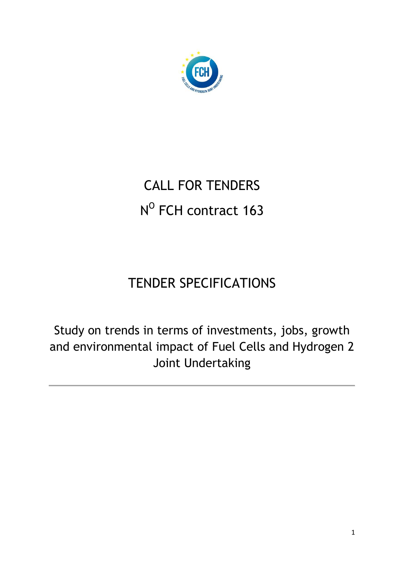

# CALL FOR TENDERS N<sup>o</sup> FCH contract 163

## TENDER SPECIFICATIONS

Study on trends in terms of investments, jobs, growth and environmental impact of Fuel Cells and Hydrogen 2 Joint Undertaking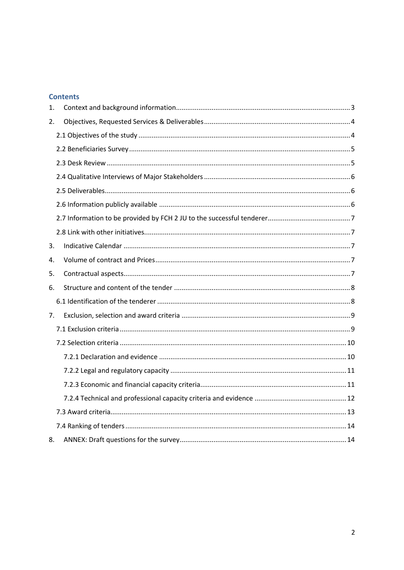#### **Contents**

| 1. |  |
|----|--|
| 2. |  |
|    |  |
|    |  |
|    |  |
|    |  |
|    |  |
|    |  |
|    |  |
|    |  |
| 3. |  |
| 4. |  |
| 5. |  |
| 6. |  |
|    |  |
| 7. |  |
|    |  |
|    |  |
|    |  |
|    |  |
|    |  |
|    |  |
|    |  |
|    |  |
| 8. |  |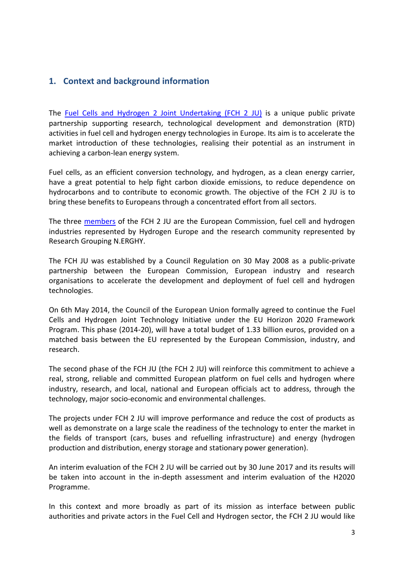## <span id="page-2-0"></span>**1. Context and background information**

The [Fuel Cells and Hydrogen 2 Joint Undertaking \(FCH](http://www.fch.europa.eu/) 2 JU) is a unique public private partnership supporting research, technological development and demonstration (RTD) activities in fuel cell and hydrogen energy technologies in Europe. Its aim is to accelerate the market introduction of these technologies, realising their potential as an instrument in achieving a carbon-lean energy system.

Fuel cells, as an efficient conversion technology, and hydrogen, as a clean energy carrier, have a great potential to help fight carbon dioxide emissions, to reduce dependence on hydrocarbons and to contribute to economic growth. The objective of the FCH 2 JU is to bring these benefits to Europeans through a concentrated effort from all sectors.

The three [members](http://www.fch.europa.eu/page/members) of the FCH 2 JU are the European Commission, fuel cell and hydrogen industries represented by Hydrogen Europe and the research community represented by Research Grouping N.ERGHY.

The FCH JU was established by a Council Regulation on 30 May 2008 as a public-private partnership between the European Commission, European industry and research organisations to accelerate the development and deployment of fuel cell and hydrogen technologies.

On 6th May 2014, the Council of the European Union formally agreed to continue the Fuel Cells and Hydrogen Joint Technology Initiative under the EU Horizon 2020 Framework Program. This phase (2014-20), will have a total budget of 1.33 billion euros, provided on a matched basis between the EU represented by the European Commission, industry, and research.

The second phase of the FCH JU (the FCH 2 JU) will reinforce this commitment to achieve a real, strong, reliable and committed European platform on fuel cells and hydrogen where industry, research, and local, national and European officials act to address, through the technology, major socio-economic and environmental challenges.

The projects under FCH 2 JU will improve performance and reduce the cost of products as well as demonstrate on a large scale the readiness of the technology to enter the market in the fields of transport (cars, buses and refuelling infrastructure) and energy (hydrogen production and distribution, energy storage and stationary power generation).

An interim evaluation of the FCH 2 JU will be carried out by 30 June 2017 and its results will be taken into account in the in-depth assessment and interim evaluation of the H2020 Programme.

In this context and more broadly as part of its mission as interface between public authorities and private actors in the Fuel Cell and Hydrogen sector, the FCH 2 JU would like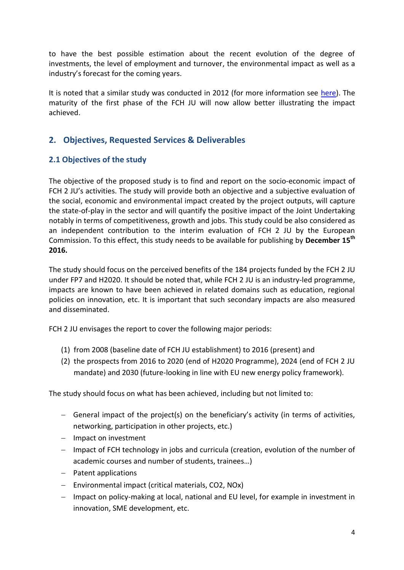to have the best possible estimation about the recent evolution of the degree of investments, the level of employment and turnover, the environmental impact as well as a industry's forecast for the coming years.

It is noted that a similar study was conducted in 2012 (for more information see [here\)](http://www.fch.europa.eu/node/791). The maturity of the first phase of the FCH JU will now allow better illustrating the impact achieved.

## <span id="page-3-0"></span>**2. Objectives, Requested Services & Deliverables**

## <span id="page-3-1"></span>**2.1 Objectives of the study**

The objective of the proposed study is to find and report on the socio-economic impact of FCH 2 JU's activities. The study will provide both an objective and a subjective evaluation of the social, economic and environmental impact created by the project outputs, will capture the state-of-play in the sector and will quantify the positive impact of the Joint Undertaking notably in terms of competitiveness, growth and jobs. This study could be also considered as an independent contribution to the interim evaluation of FCH 2 JU by the European Commission. To this effect, this study needs to be available for publishing by **December 15th 2016.**

The study should focus on the perceived benefits of the 184 projects funded by the FCH 2 JU under FP7 and H2020. It should be noted that, while FCH 2 JU is an industry-led programme, impacts are known to have been achieved in related domains such as education, regional policies on innovation, etc. It is important that such secondary impacts are also measured and disseminated.

FCH 2 JU envisages the report to cover the following major periods:

- (1) from 2008 (baseline date of FCH JU establishment) to 2016 (present) and
- (2) the prospects from 2016 to 2020 (end of H2020 Programme), 2024 (end of FCH 2 JU mandate) and 2030 (future-looking in line with EU new energy policy framework).

The study should focus on what has been achieved, including but not limited to:

- General impact of the project(s) on the beneficiary's activity (in terms of activities, networking, participation in other projects, etc.)
- $-$  Impact on investment
- Impact of FCH technology in jobs and curricula (creation, evolution of the number of academic courses and number of students, trainees…)
- Patent applications
- Environmental impact (critical materials, CO2, NOx)
- Impact on policy-making at local, national and EU level, for example in investment in innovation, SME development, etc.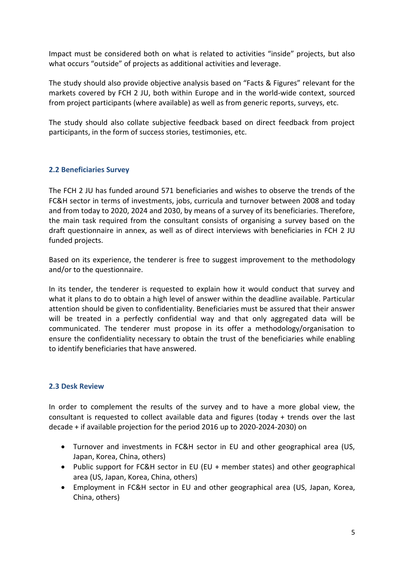Impact must be considered both on what is related to activities "inside" projects, but also what occurs "outside" of projects as additional activities and leverage.

The study should also provide objective analysis based on "Facts & Figures" relevant for the markets covered by FCH 2 JU, both within Europe and in the world-wide context, sourced from project participants (where available) as well as from generic reports, surveys, etc.

The study should also collate subjective feedback based on direct feedback from project participants, in the form of success stories, testimonies, etc.

#### <span id="page-4-0"></span>**2.2 Beneficiaries Survey**

The FCH 2 JU has funded around 571 beneficiaries and wishes to observe the trends of the FC&H sector in terms of investments, jobs, curricula and turnover between 2008 and today and from today to 2020, 2024 and 2030, by means of a survey of its beneficiaries. Therefore, the main task required from the consultant consists of organising a survey based on the draft questionnaire in annex, as well as of direct interviews with beneficiaries in FCH 2 JU funded projects.

Based on its experience, the tenderer is free to suggest improvement to the methodology and/or to the questionnaire.

In its tender, the tenderer is requested to explain how it would conduct that survey and what it plans to do to obtain a high level of answer within the deadline available. Particular attention should be given to confidentiality. Beneficiaries must be assured that their answer will be treated in a perfectly confidential way and that only aggregated data will be communicated. The tenderer must propose in its offer a methodology/organisation to ensure the confidentiality necessary to obtain the trust of the beneficiaries while enabling to identify beneficiaries that have answered.

#### <span id="page-4-1"></span>**2.3 Desk Review**

In order to complement the results of the survey and to have a more global view, the consultant is requested to collect available data and figures (today + trends over the last decade + if available projection for the period 2016 up to 2020-2024-2030) on

- Turnover and investments in FC&H sector in EU and other geographical area (US, Japan, Korea, China, others)
- Public support for FC&H sector in EU (EU + member states) and other geographical area (US, Japan, Korea, China, others)
- Employment in FC&H sector in EU and other geographical area (US, Japan, Korea, China, others)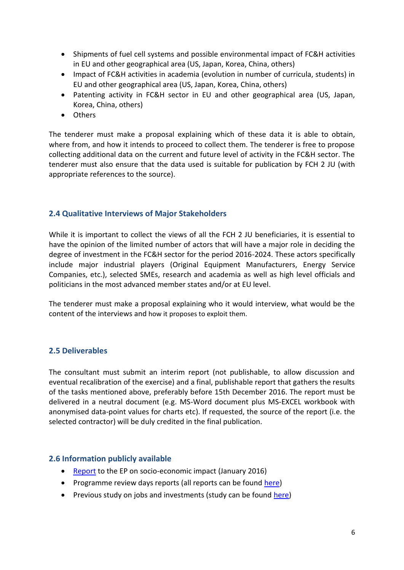- Shipments of fuel cell systems and possible environmental impact of FC&H activities in EU and other geographical area (US, Japan, Korea, China, others)
- Impact of FC&H activities in academia (evolution in number of curricula, students) in EU and other geographical area (US, Japan, Korea, China, others)
- Patenting activity in FC&H sector in EU and other geographical area (US, Japan, Korea, China, others)
- Others

The tenderer must make a proposal explaining which of these data it is able to obtain, where from, and how it intends to proceed to collect them. The tenderer is free to propose collecting additional data on the current and future level of activity in the FC&H sector. The tenderer must also ensure that the data used is suitable for publication by FCH 2 JU (with appropriate references to the source).

#### <span id="page-5-0"></span>**2.4 Qualitative Interviews of Major Stakeholders**

While it is important to collect the views of all the FCH 2 JU beneficiaries, it is essential to have the opinion of the limited number of actors that will have a major role in deciding the degree of investment in the FC&H sector for the period 2016-2024. These actors specifically include major industrial players (Original Equipment Manufacturers, Energy Service Companies, etc.), selected SMEs, research and academia as well as high level officials and politicians in the most advanced member states and/or at EU level.

The tenderer must make a proposal explaining who it would interview, what would be the content of the interviews and how it proposes to exploit them.

#### <span id="page-5-1"></span>**2.5 Deliverables**

The consultant must submit an interim report (not publishable, to allow discussion and eventual recalibration of the exercise) and a final, publishable report that gathers the results of the tasks mentioned above, preferably before 15th December 2016. The report must be delivered in a neutral document (e.g. MS-Word document plus MS-EXCEL workbook with anonymised data-point values for charts etc). If requested, the source of the report (i.e. the selected contractor) will be duly credited in the final publication.

#### <span id="page-5-2"></span>**2.6 Information publicly available**

- [Report](http://www.fch.europa.eu/sites/default/files/FCH%20JU%20report%20on%20socio-economic%20impact.pdf) to the EP on socio-economic impact (January 2016)
- Programme review days reports (all reports can be found [here\)](http://www.fch.europa.eu/publications)
- Previous study on jobs and investments (study can be found [here\)](http://www.fch.europa.eu/node/791)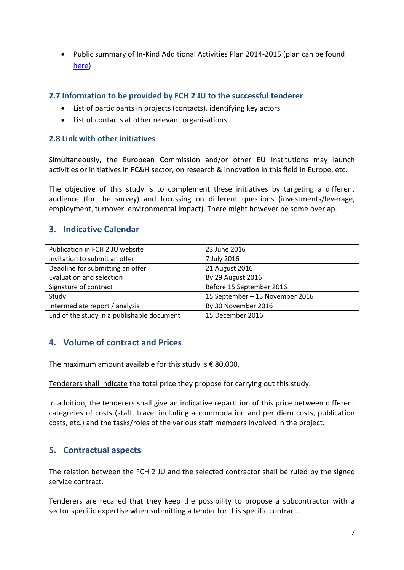Public summary of In-Kind Additional Activities Plan 2014-2015 (plan can be found [here\)](http://www.fch.europa.eu/page/kind-additional-activities)

#### <span id="page-6-0"></span>**2.7 Information to be provided by FCH 2 JU to the successful tenderer**

- List of participants in projects (contacts), identifying key actors
- List of contacts at other relevant organisations

#### <span id="page-6-1"></span>**2.8 Link with other initiatives**

Simultaneously, the European Commission and/or other EU Institutions may launch activities or initiatives in FC&H sector, on research & innovation in this field in Europe, etc.

The objective of this study is to complement these initiatives by targeting a different audience (for the survey) and focussing on different questions (investments/leverage, employment, turnover, environmental impact). There might however be some overlap.

#### <span id="page-6-2"></span>**3. Indicative Calendar**

| Publication in FCH 2 JU website            | 23 June 2016                    |  |
|--------------------------------------------|---------------------------------|--|
| Invitation to submit an offer              | 7 July 2016                     |  |
| Deadline for submitting an offer           | 21 August 2016                  |  |
| <b>Evaluation and selection</b>            | By 29 August 2016               |  |
| Signature of contract                      | Before 15 September 2016        |  |
| Study                                      | 15 September - 15 November 2016 |  |
| Intermediate report / analysis             | By 30 November 2016             |  |
| End of the study in a publishable document | 15 December 2016                |  |

#### <span id="page-6-3"></span>**4. Volume of contract and Prices**

The maximum amount available for this study is  $\epsilon$  80,000.

Tenderers shall indicate the total price they propose for carrying out this study.

In addition, the tenderers shall give an indicative repartition of this price between different categories of costs (staff, travel including accommodation and per diem costs, publication costs, etc.) and the tasks/roles of the various staff members involved in the project.

#### <span id="page-6-4"></span>**5. Contractual aspects**

The relation between the FCH 2 JU and the selected contractor shall be ruled by the signed service contract.

Tenderers are recalled that they keep the possibility to propose a subcontractor with a sector specific expertise when submitting a tender for this specific contract.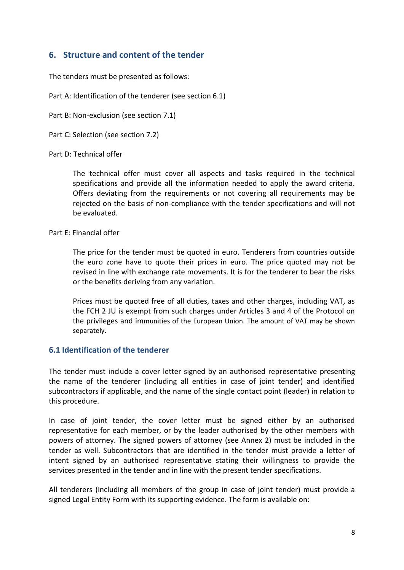## <span id="page-7-0"></span>**6. Structure and content of the tender**

The tenders must be presented as follows:

Part A: Identification of the tenderer (see section 6.1)

Part B: Non-exclusion (see section 7.1)

Part C: Selection (see section 7.2)

Part D: Technical offer

The technical offer must cover all aspects and tasks required in the technical specifications and provide all the information needed to apply the award criteria. Offers deviating from the requirements or not covering all requirements may be rejected on the basis of non-compliance with the tender specifications and will not be evaluated.

Part E: Financial offer

The price for the tender must be quoted in euro. Tenderers from countries outside the euro zone have to quote their prices in euro. The price quoted may not be revised in line with exchange rate movements. It is for the tenderer to bear the risks or the benefits deriving from any variation.

Prices must be quoted free of all duties, taxes and other charges, including VAT, as the FCH 2 JU is exempt from such charges under Articles 3 and 4 of the Protocol on the privileges and immunities of the European Union. The amount of VAT may be shown separately.

#### <span id="page-7-1"></span>**6.1 Identification of the tenderer**

The tender must include a cover letter signed by an authorised representative presenting the name of the tenderer (including all entities in case of joint tender) and identified subcontractors if applicable, and the name of the single contact point (leader) in relation to this procedure.

In case of joint tender, the cover letter must be signed either by an authorised representative for each member, or by the leader authorised by the other members with powers of attorney. The signed powers of attorney (see Annex 2) must be included in the tender as well. Subcontractors that are identified in the tender must provide a letter of intent signed by an authorised representative stating their willingness to provide the services presented in the tender and in line with the present tender specifications.

All tenderers (including all members of the group in case of joint tender) must provide a signed Legal Entity Form with its supporting evidence. The form is available on: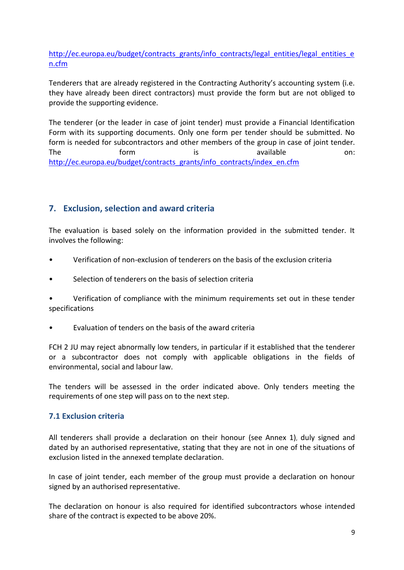[http://ec.europa.eu/budget/contracts\\_grants/info\\_contracts/legal\\_entities/legal\\_entities\\_e](http://ec.europa.eu/budget/contracts_grants/info_contracts/legal_entities/legal_entities_en.cfm) [n.cfm](http://ec.europa.eu/budget/contracts_grants/info_contracts/legal_entities/legal_entities_en.cfm)

Tenderers that are already registered in the Contracting Authority's accounting system (i.e. they have already been direct contractors) must provide the form but are not obliged to provide the supporting evidence.

The tenderer (or the leader in case of joint tender) must provide a Financial Identification Form with its supporting documents. Only one form per tender should be submitted. No form is needed for subcontractors and other members of the group in case of joint tender. The form is available on: [http://ec.europa.eu/budget/contracts\\_grants/info\\_contracts/index\\_en.cfm](http://ec.europa.eu/budget/contracts_grants/info_contracts/index_en.cfm)

## <span id="page-8-0"></span>**7. Exclusion, selection and award criteria**

The evaluation is based solely on the information provided in the submitted tender. It involves the following:

- Verification of non-exclusion of tenderers on the basis of the exclusion criteria
- Selection of tenderers on the basis of selection criteria

• Verification of compliance with the minimum requirements set out in these tender specifications

• Evaluation of tenders on the basis of the award criteria

FCH 2 JU may reject abnormally low tenders, in particular if it established that the tenderer or a subcontractor does not comply with applicable obligations in the fields of environmental, social and labour law.

The tenders will be assessed in the order indicated above. Only tenders meeting the requirements of one step will pass on to the next step.

#### <span id="page-8-1"></span>**7.1 Exclusion criteria**

All tenderers shall provide a declaration on their honour (see Annex 1), duly signed and dated by an authorised representative, stating that they are not in one of the situations of exclusion listed in the annexed template declaration.

In case of joint tender, each member of the group must provide a declaration on honour signed by an authorised representative.

The declaration on honour is also required for identified subcontractors whose intended share of the contract is expected to be above 20%.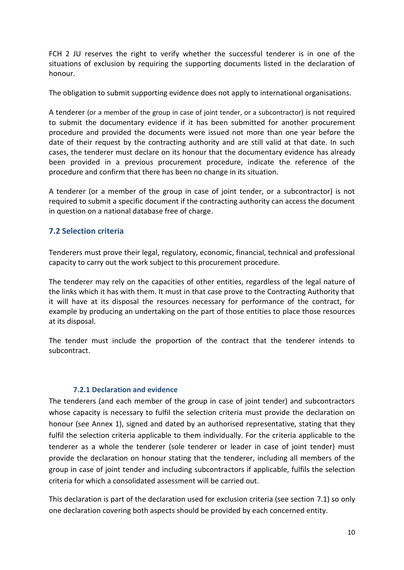FCH 2 JU reserves the right to verify whether the successful tenderer is in one of the situations of exclusion by requiring the supporting documents listed in the declaration of honour.

The obligation to submit supporting evidence does not apply to international organisations.

A tenderer (or a member of the group in case of joint tender, or a subcontractor) is not required to submit the documentary evidence if it has been submitted for another procurement procedure and provided the documents were issued not more than one year before the date of their request by the contracting authority and are still valid at that date. In such cases, the tenderer must declare on its honour that the documentary evidence has already been provided in a previous procurement procedure, indicate the reference of the procedure and confirm that there has been no change in its situation.

A tenderer (or a member of the group in case of joint tender, or a subcontractor) is not required to submit a specific document if the contracting authority can access the document in question on a national database free of charge.

#### <span id="page-9-0"></span>**7.2 Selection criteria**

Tenderers must prove their legal, regulatory, economic, financial, technical and professional capacity to carry out the work subject to this procurement procedure.

The tenderer may rely on the capacities of other entities, regardless of the legal nature of the links which it has with them. It must in that case prove to the Contracting Authority that it will have at its disposal the resources necessary for performance of the contract, for example by producing an undertaking on the part of those entities to place those resources at its disposal.

The tender must include the proportion of the contract that the tenderer intends to subcontract.

#### **7.2.1 Declaration and evidence**

<span id="page-9-1"></span>The tenderers (and each member of the group in case of joint tender) and subcontractors whose capacity is necessary to fulfil the selection criteria must provide the declaration on honour (see Annex 1), signed and dated by an authorised representative, stating that they fulfil the selection criteria applicable to them individually. For the criteria applicable to the tenderer as a whole the tenderer (sole tenderer or leader in case of joint tender) must provide the declaration on honour stating that the tenderer, including all members of the group in case of joint tender and including subcontractors if applicable, fulfils the selection criteria for which a consolidated assessment will be carried out.

This declaration is part of the declaration used for exclusion criteria (see section 7.1) so only one declaration covering both aspects should be provided by each concerned entity.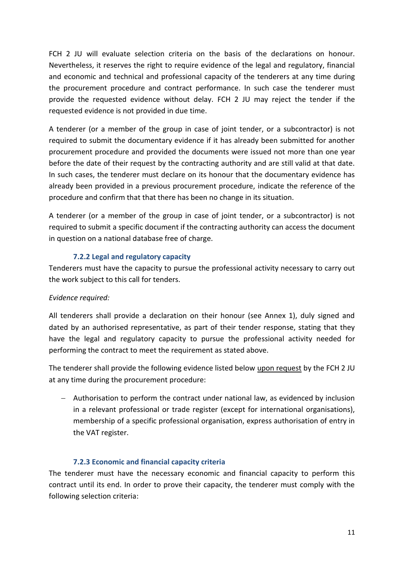FCH 2 JU will evaluate selection criteria on the basis of the declarations on honour. Nevertheless, it reserves the right to require evidence of the legal and regulatory, financial and economic and technical and professional capacity of the tenderers at any time during the procurement procedure and contract performance. In such case the tenderer must provide the requested evidence without delay. FCH 2 JU may reject the tender if the requested evidence is not provided in due time.

A tenderer (or a member of the group in case of joint tender, or a subcontractor) is not required to submit the documentary evidence if it has already been submitted for another procurement procedure and provided the documents were issued not more than one year before the date of their request by the contracting authority and are still valid at that date. In such cases, the tenderer must declare on its honour that the documentary evidence has already been provided in a previous procurement procedure, indicate the reference of the procedure and confirm that that there has been no change in its situation.

A tenderer (or a member of the group in case of joint tender, or a subcontractor) is not required to submit a specific document if the contracting authority can access the document in question on a national database free of charge.

#### **7.2.2 Legal and regulatory capacity**

<span id="page-10-0"></span>Tenderers must have the capacity to pursue the professional activity necessary to carry out the work subject to this call for tenders.

#### *Evidence required:*

All tenderers shall provide a declaration on their honour (see Annex 1), duly signed and dated by an authorised representative, as part of their tender response, stating that they have the legal and regulatory capacity to pursue the professional activity needed for performing the contract to meet the requirement as stated above.

The tenderer shall provide the following evidence listed below upon request by the FCH 2 JU at any time during the procurement procedure:

 Authorisation to perform the contract under national law, as evidenced by inclusion in a relevant professional or trade register (except for international organisations), membership of a specific professional organisation, express authorisation of entry in the VAT register.

#### **7.2.3 Economic and financial capacity criteria**

<span id="page-10-1"></span>The tenderer must have the necessary economic and financial capacity to perform this contract until its end. In order to prove their capacity, the tenderer must comply with the following selection criteria: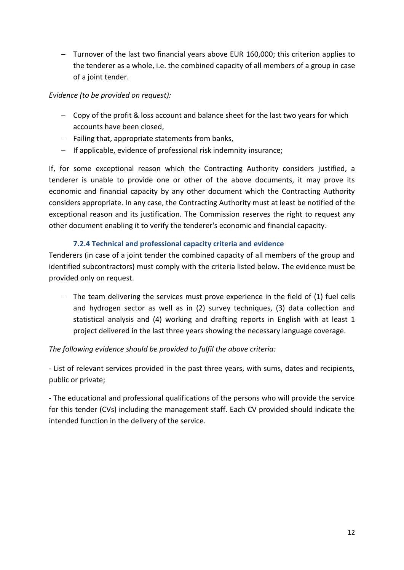Turnover of the last two financial years above EUR 160,000; this criterion applies to the tenderer as a whole, i.e. the combined capacity of all members of a group in case of a joint tender.

#### *Evidence (to be provided on request):*

- $-$  Copy of the profit & loss account and balance sheet for the last two years for which accounts have been closed,
- $-$  Failing that, appropriate statements from banks,
- $-I$  If applicable, evidence of professional risk indemnity insurance;

If, for some exceptional reason which the Contracting Authority considers justified, a tenderer is unable to provide one or other of the above documents, it may prove its economic and financial capacity by any other document which the Contracting Authority considers appropriate. In any case, the Contracting Authority must at least be notified of the exceptional reason and its justification. The Commission reserves the right to request any other document enabling it to verify the tenderer's economic and financial capacity.

## **7.2.4 Technical and professional capacity criteria and evidence**

<span id="page-11-0"></span>Tenderers (in case of a joint tender the combined capacity of all members of the group and identified subcontractors) must comply with the criteria listed below. The evidence must be provided only on request.

 The team delivering the services must prove experience in the field of (1) fuel cells and hydrogen sector as well as in (2) survey techniques, (3) data collection and statistical analysis and (4) working and drafting reports in English with at least 1 project delivered in the last three years showing the necessary language coverage.

#### *The following evidence should be provided to fulfil the above criteria:*

- List of relevant services provided in the past three years, with sums, dates and recipients, public or private;

- The educational and professional qualifications of the persons who will provide the service for this tender (CVs) including the management staff. Each CV provided should indicate the intended function in the delivery of the service.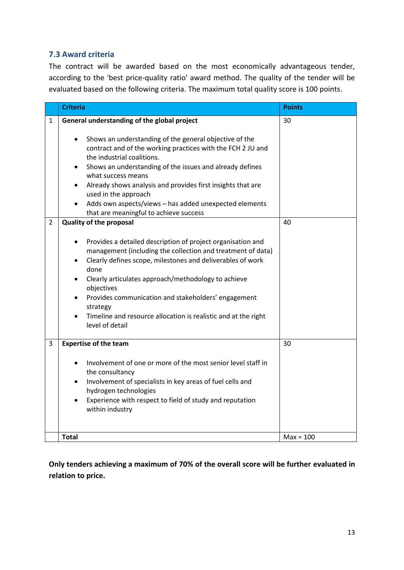#### <span id="page-12-0"></span>**7.3 Award criteria**

The contract will be awarded based on the most economically advantageous tender, according to the 'best price-quality ratio' award method. The quality of the tender will be evaluated based on the following criteria. The maximum total quality score is 100 points.

|                     | <b>Criteria</b>                                                                                                                                                                                                                                                                                                                                                                                                                                                                                                                                                                                                                                                                                                                                                                                                                                                                                                                                                                                                                 | <b>Points</b> |
|---------------------|---------------------------------------------------------------------------------------------------------------------------------------------------------------------------------------------------------------------------------------------------------------------------------------------------------------------------------------------------------------------------------------------------------------------------------------------------------------------------------------------------------------------------------------------------------------------------------------------------------------------------------------------------------------------------------------------------------------------------------------------------------------------------------------------------------------------------------------------------------------------------------------------------------------------------------------------------------------------------------------------------------------------------------|---------------|
| 1<br>$\overline{2}$ | General understanding of the global project<br>Shows an understanding of the general objective of the<br>$\bullet$<br>contract and of the working practices with the FCH 2 JU and<br>the industrial coalitions.<br>Shows an understanding of the issues and already defines<br>$\bullet$<br>what success means<br>Already shows analysis and provides first insights that are<br>$\bullet$<br>used in the approach<br>Adds own aspects/views - has added unexpected elements<br>$\bullet$<br>that are meaningful to achieve success<br><b>Quality of the proposal</b><br>Provides a detailed description of project organisation and<br>$\bullet$<br>management (including the collection and treatment of data)<br>Clearly defines scope, milestones and deliverables of work<br>٠<br>done<br>Clearly articulates approach/methodology to achieve<br>$\bullet$<br>objectives<br>Provides communication and stakeholders' engagement<br>$\bullet$<br>strategy<br>Timeline and resource allocation is realistic and at the right | 30<br>40      |
| 3                   | level of detail                                                                                                                                                                                                                                                                                                                                                                                                                                                                                                                                                                                                                                                                                                                                                                                                                                                                                                                                                                                                                 | 30            |
|                     | <b>Expertise of the team</b><br>Involvement of one or more of the most senior level staff in<br>$\bullet$<br>the consultancy<br>Involvement of specialists in key areas of fuel cells and<br>$\bullet$<br>hydrogen technologies<br>Experience with respect to field of study and reputation<br>$\bullet$<br>within industry                                                                                                                                                                                                                                                                                                                                                                                                                                                                                                                                                                                                                                                                                                     |               |
|                     | <b>Total</b>                                                                                                                                                                                                                                                                                                                                                                                                                                                                                                                                                                                                                                                                                                                                                                                                                                                                                                                                                                                                                    | $Max = 100$   |

**Only tenders achieving a maximum of 70% of the overall score will be further evaluated in relation to price.**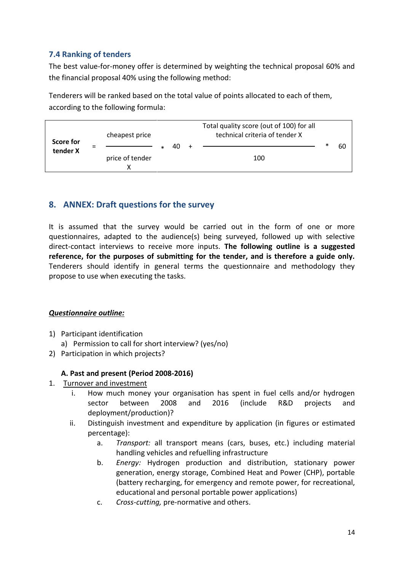#### <span id="page-13-0"></span>**7.4 Ranking of tenders**

The best value-for-money offer is determined by weighting the technical proposal 60% and the financial proposal 40% using the following method:

Tenderers will be ranked based on the total value of points allocated to each of them, according to the following formula:



## <span id="page-13-1"></span>**8. ANNEX: Draft questions for the survey**

It is assumed that the survey would be carried out in the form of one or more questionnaires, adapted to the audience(s) being surveyed, followed up with selective direct-contact interviews to receive more inputs. **The following outline is a suggested reference, for the purposes of submitting for the tender, and is therefore a guide only.**  Tenderers should identify in general terms the questionnaire and methodology they propose to use when executing the tasks.

#### *Questionnaire outline:*

- 1) Participant identification
	- a) Permission to call for short interview? (yes/no)
- 2) Participation in which projects?

#### **A. Past and present (Period 2008-2016)**

- 1. Turnover and investment
	- i. How much money your organisation has spent in fuel cells and/or hydrogen sector between 2008 and 2016 (include R&D projects and deployment/production)?
	- ii. Distinguish investment and expenditure by application (in figures or estimated percentage):
		- a. *Transport:* all transport means (cars, buses, etc.) including material handling vehicles and refuelling infrastructure
		- b. *Energy:* Hydrogen production and distribution, stationary power generation, energy storage, Combined Heat and Power (CHP), portable (battery recharging, for emergency and remote power, for recreational, educational and personal portable power applications)
		- c. *Cross-cutting,* pre-normative and others.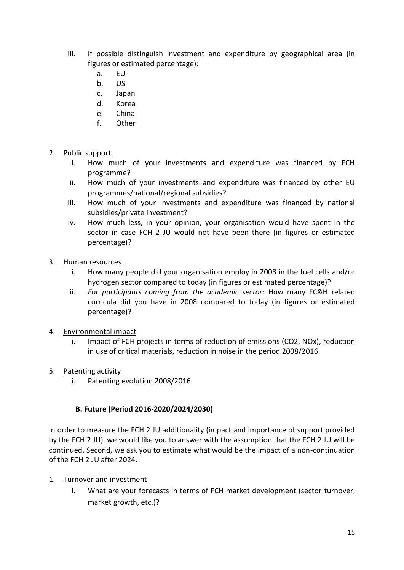- iii. If possible distinguish investment and expenditure by geographical area (in figures or estimated percentage):
	- a. EU
	- b. US
	- c. Japan
	- d. Korea
	- e. China
	- f. Other
- 2. Public support
	- i. How much of your investments and expenditure was financed by FCH programme?
	- ii. How much of your investments and expenditure was financed by other EU programmes/national/regional subsidies?
	- iii. How much of your investments and expenditure was financed by national subsidies/private investment?
	- iv. How much less, in your opinion, your organisation would have spent in the sector in case FCH 2 JU would not have been there (in figures or estimated percentage)?
- 3. Human resources
	- i. How many people did your organisation employ in 2008 in the fuel cells and/or hydrogen sector compared to today (in figures or estimated percentage)?
	- ii. *For participants coming from the academic sector*: How many FC&H related curricula did you have in 2008 compared to today (in figures or estimated percentage)?
- 4. Environmental impact
	- i. Impact of FCH projects in terms of reduction of emissions (CO2, NOx), reduction in use of critical materials, reduction in noise in the period 2008/2016.
- 5. Patenting activity
	- i. Patenting evolution 2008/2016

#### **B. Future (Period 2016-2020/2024/2030)**

In order to measure the FCH 2 JU additionality (impact and importance of support provided by the FCH 2 JU), we would like you to answer with the assumption that the FCH 2 JU will be continued. Second, we ask you to estimate what would be the impact of a non-continuation of the FCH 2 JU after 2024.

- 1. Turnover and investment
	- i. What are your forecasts in terms of FCH market development (sector turnover, market growth, etc.)?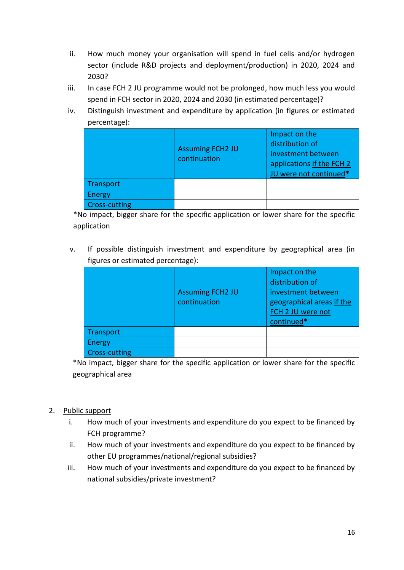- ii. How much money your organisation will spend in fuel cells and/or hydrogen sector (include R&D projects and deployment/production) in 2020, 2024 and 2030?
- iii. In case FCH 2 JU programme would not be prolonged, how much less you would spend in FCH sector in 2020, 2024 and 2030 (in estimated percentage)?
- iv. Distinguish investment and expenditure by application (in figures or estimated percentage):

|                      | <b>Assuming FCH2 JU</b><br>continuation | Impact on the<br>distribution of<br>investment between<br>applications if the FCH 2<br>JU were not continued* |
|----------------------|-----------------------------------------|---------------------------------------------------------------------------------------------------------------|
| Transport            |                                         |                                                                                                               |
| Energy               |                                         |                                                                                                               |
| <b>Cross-cutting</b> |                                         |                                                                                                               |

\*No impact, bigger share for the specific application or lower share for the specific application

v. If possible distinguish investment and expenditure by geographical area (in figures or estimated percentage):

|                      | <b>Assuming FCH2 JU</b><br>continuation | Impact on the<br>distribution of<br>investment between<br>geographical areas if the<br>FCH 2 JU were not<br>continued* |
|----------------------|-----------------------------------------|------------------------------------------------------------------------------------------------------------------------|
| Transport            |                                         |                                                                                                                        |
| <b>Energy</b>        |                                         |                                                                                                                        |
| <b>Cross-cutting</b> |                                         |                                                                                                                        |

\*No impact, bigger share for the specific application or lower share for the specific geographical area

#### 2. Public support

- i. How much of your investments and expenditure do you expect to be financed by FCH programme?
- ii. How much of your investments and expenditure do you expect to be financed by other EU programmes/national/regional subsidies?
- iii. How much of your investments and expenditure do you expect to be financed by national subsidies/private investment?